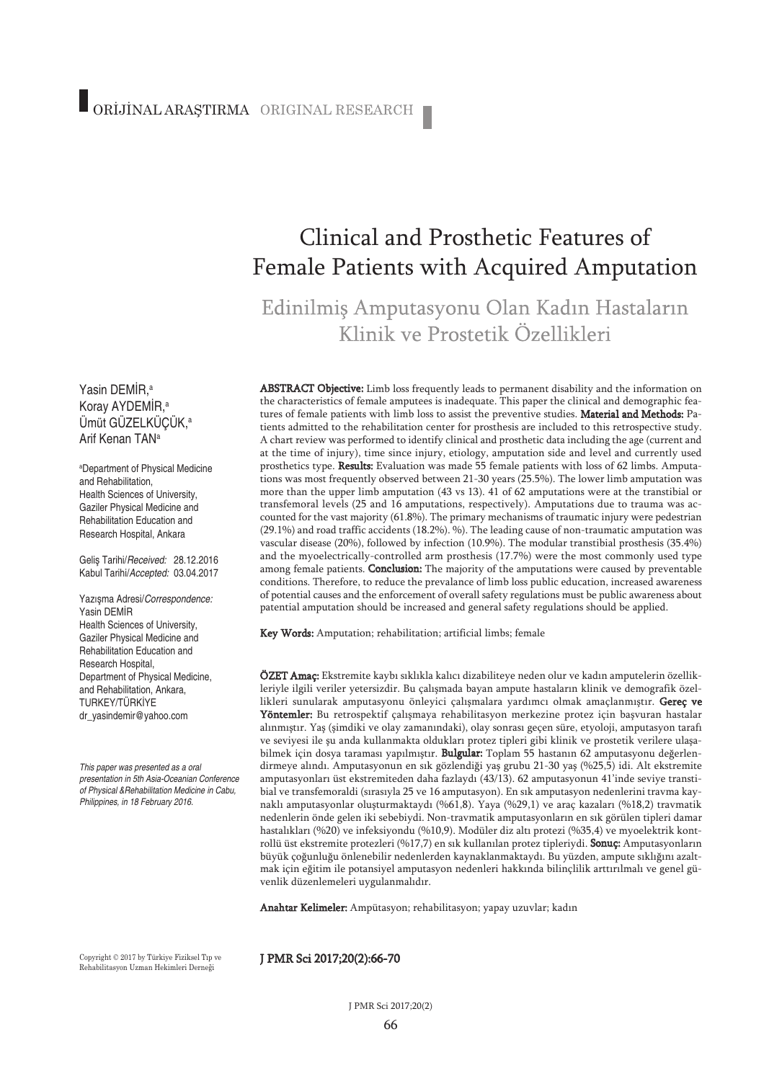# Clinical and Prosthetic Features of Female Patients with Acquired Amputation

## Edinilmiş Amputasyonu Olan Kadın Hastaların Klinik ve Prostetik Özellikleri

ABSTRACT Objective: Limb loss frequently leads to permanent disability and the information on the characteristics of female amputees is inadequate. This paper the clinical and demographic features of female patients with limb loss to assist the preventive studies. Material and Methods: Patients admitted to the rehabilitation center for prosthesis are included to this retrospective study. A chart review was performed to identify clinical and prosthetic data including the age (current and at the time of injury), time since injury, etiology, amputation side and level and currently used prosthetics type. Results: Evaluation was made 55 female patients with loss of 62 limbs. Amputations was most frequently observed between 21-30 years (25.5%). The lower limb amputation was more than the upper limb amputation (43 vs 13). 41 of 62 amputations were at the transtibial or transfemoral levels (25 and 16 amputations, respectively). Amputations due to trauma was accounted for the vast majority (61.8%). The primary mechanisms of traumatic injury were pedestrian (29.1%) and road traffic accidents (18.2%). %). The leading cause of non-traumatic amputation was vascular disease (20%), followed by infection (10.9%). The modular transtibial prosthesis (35.4%) and the myoelectrically-controlled arm prosthesis (17.7%) were the most commonly used type among female patients. **Conclusion:** The majority of the amputations were caused by preventable conditions. Therefore, to reduce the prevalance of limb loss public education, increased awareness of potential causes and the enforcement of overall safety regulations must be public awareness about patential amputation should be increased and general safety regulations should be applied.

Key Words: Amputation; rehabilitation; artificial limbs; female

ÖZET Amaç: Ekstremite kaybı sıklıkla kalıcı dizabiliteye neden olur ve kadın amputelerin özellikleriyle ilgili veriler yetersizdir. Bu çalışmada bayan ampute hastaların klinik ve demografik özellikleri sunularak amputasyonu önleyici çalışmalara yardımcı olmak amaçlanmıştır. Gereç ve Yöntemler: Bu retrospektif çalışmaya rehabilitasyon merkezine protez için başvuran hastalar alınmıştır. Yaş (şimdiki ve olay zamanındaki), olay sonrası geçen süre, etyoloji, amputasyon tarafı ve seviyesi ile şu anda kullanmakta oldukları protez tipleri gibi klinik ve prostetik verilere ulaşabilmek için dosya taraması yapılmıştır. Bulgular: Toplam 55 hastanın 62 amputasyonu değerlendirmeye alındı. Amputasyonun en sık gözlendiği yaş grubu 21-30 yaş (%25,5) idi. Alt ekstremite amputasyonları üst ekstremiteden daha fazlaydı (43/13). 62 amputasyonun 41'inde seviye transtibial ve transfemoraldi (sırasıyla 25 ve 16 amputasyon). En sık amputasyon nedenlerini travma kaynaklı amputasyonlar oluşturmaktaydı (%61,8). Yaya (%29,1) ve araç kazaları (%18,2) travmatik nedenlerin önde gelen iki sebebiydi. Non-travmatik amputasyonların en sık görülen tipleri damar hastalıkları (%20) ve infeksiyondu (%10,9). Modüler diz altı protezi (%35,4) ve myoelektrik kontrollü üst ekstremite protezleri (%17,7) en sık kullanılan protez tipleriydi. Sonuç: Amputasyonların büyük çoğunluğu önlenebilir nedenlerden kaynaklanmaktaydı. Bu yüzden, ampute sıklığını azaltmak için eğitim ile potansiyel amputasyon nedenleri hakkında bilinçlilik arttırılmalı ve genel güvenlik düzenlemeleri uygulanmalıdır.

Anahtar Kelimeler: Ampütasyon; rehabilitasyon; yapay uzuvlar; kadın

Copyright © 2017 by Türkiye Fiziksel Tıp ve Rehabilitasyon Uzman Hekimleri Derneği

#### J PMR Sci 2017;20(2):66-70

#### Koray AYDEMİR, a Ümüt GÜZELKÜÇÜK, a Arif Kenan TANa

Yasin DEMİR, a

a Department of Physical Medicine and Rehabilitation, Health Sciences of University, Gaziler Physical Medicine and Rehabilitation Education and Research Hospital, Ankara

Geliş Tarihi/*Received:* 28.12.2016 Kabul Tarihi/*Accepted:* 03.04.2017

Yazışma Adresi/*Correspondence:* Yasin DEMİR Health Sciences of University, Gaziler Physical Medicine and Rehabilitation Education and Research Hospital, Department of Physical Medicine, and Rehabilitation, Ankara, TURKEY/TÜRKİYE dr\_yasindemir@yahoo.com

*This paper was presented as a oral presentation in 5th Asia-Oceanian Conference of Physical &Rehabilitation Medicine in Cabu, Philippines, in 18 February 2016.*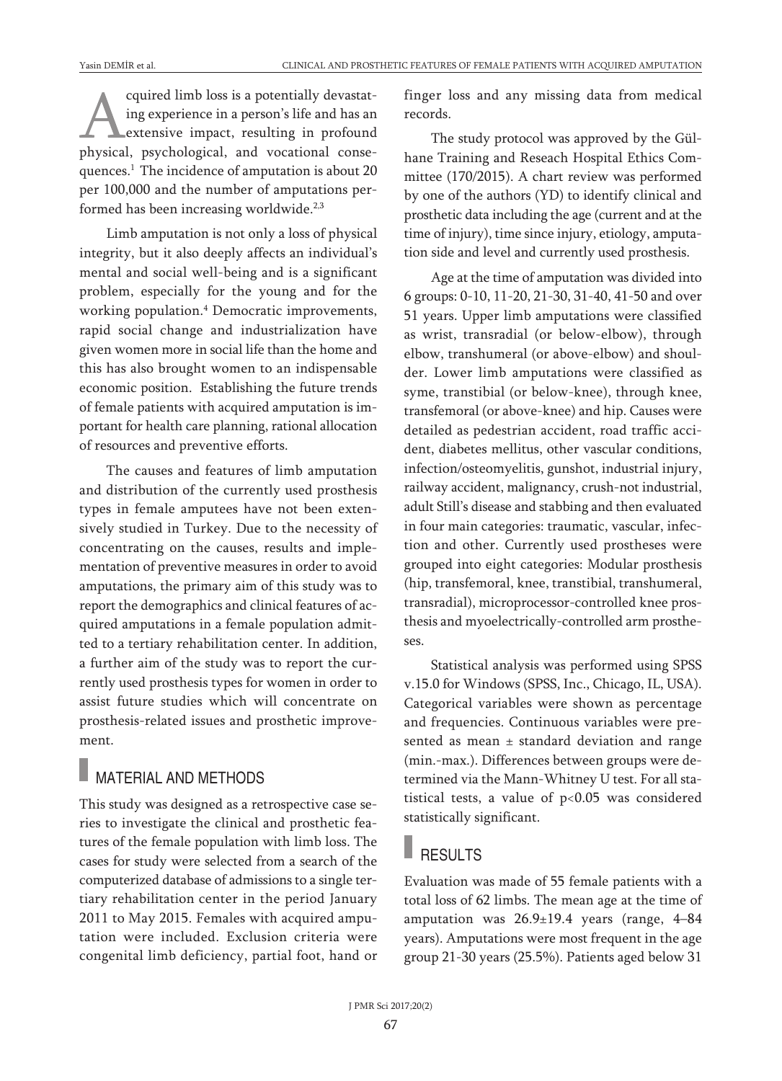cquired limb loss is a potentially devastating experience in a person's life and has an extensive impact, resulting in profound physical, psychological, and vocational consequences. <sup>1</sup> The incidence of amputation is about 20 per 100,000 and the number of amputations performed has been increasing worldwide.<sup>2,3</sup>

Limb amputation is not only a loss of physical integrity, but it also deeply affects an individual's mental and social well-being and is a significant problem, especially for the young and for the working population. <sup>4</sup> Democratic improvements, rapid social change and industrialization have given women more in social life than the home and this has also brought women to an indispensable economic position. Establishing the future trends of female patients with acquired amputation is important for health care planning, rational allocation of resources and preventive efforts.

The causes and features of limb amputation and distribution of the currently used prosthesis types in female amputees have not been extensively studied in Turkey. Due to the necessity of concentrating on the causes, results and implementation of preventive measures in order to avoid amputations, the primary aim of this study was to report the demographics and clinical features of acquired amputations in a female population admitted to a tertiary rehabilitation center. In addition, a further aim of the study was to report the currently used prosthesis types for women in order to assist future studies which will concentrate on prosthesis-related issues and prosthetic improvement.

### MATERIAL AND METHODS

This study was designed as a retrospective case series to investigate the clinical and prosthetic features of the female population with limb loss. The cases for study were selected from a search of the computerized database of admissions to a single tertiary rehabilitation center in the period January 2011 to May 2015. Females with acquired amputation were included. Exclusion criteria were congenital limb deficiency, partial foot, hand or finger loss and any missing data from medical records.

The study protocol was approved by the Gülhane Training and Reseach Hospital Ethics Committee (170/2015). A chart review was performed by one of the authors (YD) to identify clinical and prosthetic data including the age (current and at the time of injury), time since injury, etiology, amputation side and level and currently used prosthesis.

Age at the time of amputation was divided into 6 groups: 0-10, 11-20, 21-30, 31-40, 41-50 and over 51 years. Upper limb amputations were classified as wrist, transradial (or below-elbow), through elbow, transhumeral (or above-elbow) and shoulder. Lower limb amputations were classified as syme, transtibial (or below-knee), through knee, transfemoral (or above-knee) and hip. Causes were detailed as pedestrian accident, road traffic accident, diabetes mellitus, other vascular conditions, infection/osteomyelitis, gunshot, industrial injury, railway accident, malignancy, crush-not industrial, adult Still's disease and stabbing and then evaluated in four main categories: traumatic, vascular, infection and other. Currently used prostheses were grouped into eight categories: Modular prosthesis (hip, transfemoral, knee, transtibial, transhumeral, transradial), microprocessor-controlled knee prosthesis and myoelectrically-controlled arm prostheses.

Statistical analysis was performed using SPSS v.15.0 for Windows (SPSS, Inc., Chicago, IL, USA). Categorical variables were shown as percentage and frequencies. Continuous variables were presented as mean  $\pm$  standard deviation and range (min.-max.). Differences between groups were determined via the Mann-Whitney U test. For all statistical tests, a value of  $p<0.05$  was considered statistically significant.

#### **RESULTS**

Evaluation was made of 55 female patients with a total loss of 62 limbs. The mean age at the time of amputation was 26.9±19.4 years (range, 4–84 years). Amputations were most frequent in the age group 21-30 years (25.5%). Patients aged below 31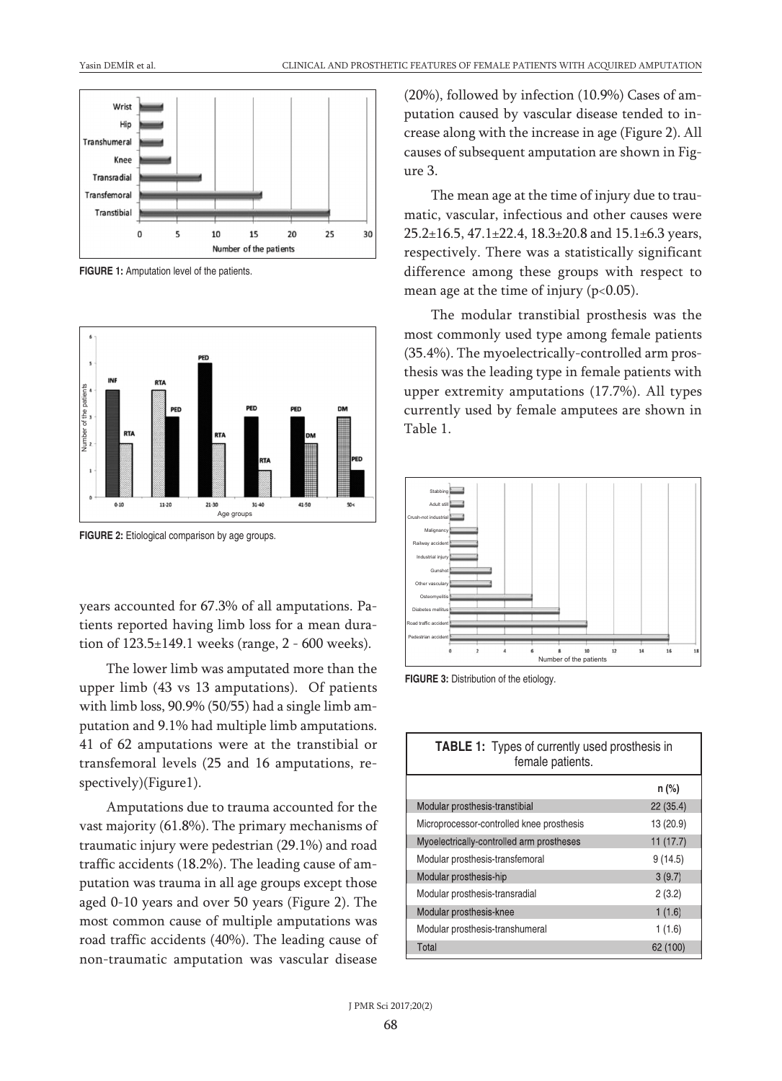

**FIGURE 1:** Amputation level of the patients.



**FIGURE 2:** Etiological comparison by age groups.

years accounted for 67.3% of all amputations. Patients reported having limb loss for a mean duration of 123.5±149.1 weeks (range, 2 - 600 weeks).

The lower limb was amputated more than the upper limb (43 vs 13 amputations). Of patients with limb loss, 90.9% (50/55) had a single limb amputation and 9.1% had multiple limb amputations. 41 of 62 amputations were at the transtibial or transfemoral levels (25 and 16 amputations, respectively)(Figure1).

Amputations due to trauma accounted for the vast majority (61.8%). The primary mechanisms of traumatic injury were pedestrian (29.1%) and road traffic accidents (18.2%). The leading cause of amputation was trauma in all age groups except those aged 0-10 years and over 50 years (Figure 2). The most common cause of multiple amputations was road traffic accidents (40%). The leading cause of non-traumatic amputation was vascular disease

(20%), followed by infection (10.9%) Cases of amputation caused by vascular disease tended to increase along with the increase in age (Figure 2). All causes of subsequent amputation are shown in Figure 3.

The mean age at the time of injury due to traumatic, vascular, infectious and other causes were 25.2±16.5, 47.1±22.4, 18.3±20.8 and 15.1±6.3 years, respectively. There was a statistically significant difference among these groups with respect to mean age at the time of injury (p<0.05).

The modular transtibial prosthesis was the most commonly used type among female patients (35.4%). The myoelectrically-controlled arm prosthesis was the leading type in female patients with upper extremity amputations (17.7%). All types currently used by female amputees are shown in Table 1.



**FIGURE 3:** Distribution of the etiology.

| <b>TABLE 1:</b> Types of currently used prosthesis in<br>female patients. |           |
|---------------------------------------------------------------------------|-----------|
|                                                                           | n (%)     |
| Modular prosthesis-transtibial                                            | 22(35.4)  |
| Microprocessor-controlled knee prosthesis                                 | 13 (20.9) |
| Myoelectrically-controlled arm prostheses                                 | 11(17.7)  |
| Modular prosthesis-transfemoral                                           | 9(14.5)   |
| Modular prosthesis-hip                                                    | 3(9.7)    |
| Modular prosthesis-transradial                                            | 2(3.2)    |
| Modular prosthesis-knee                                                   | 1(1.6)    |
| Modular prosthesis-transhumeral                                           | 1(1.6)    |
| Total                                                                     | 62 (100)  |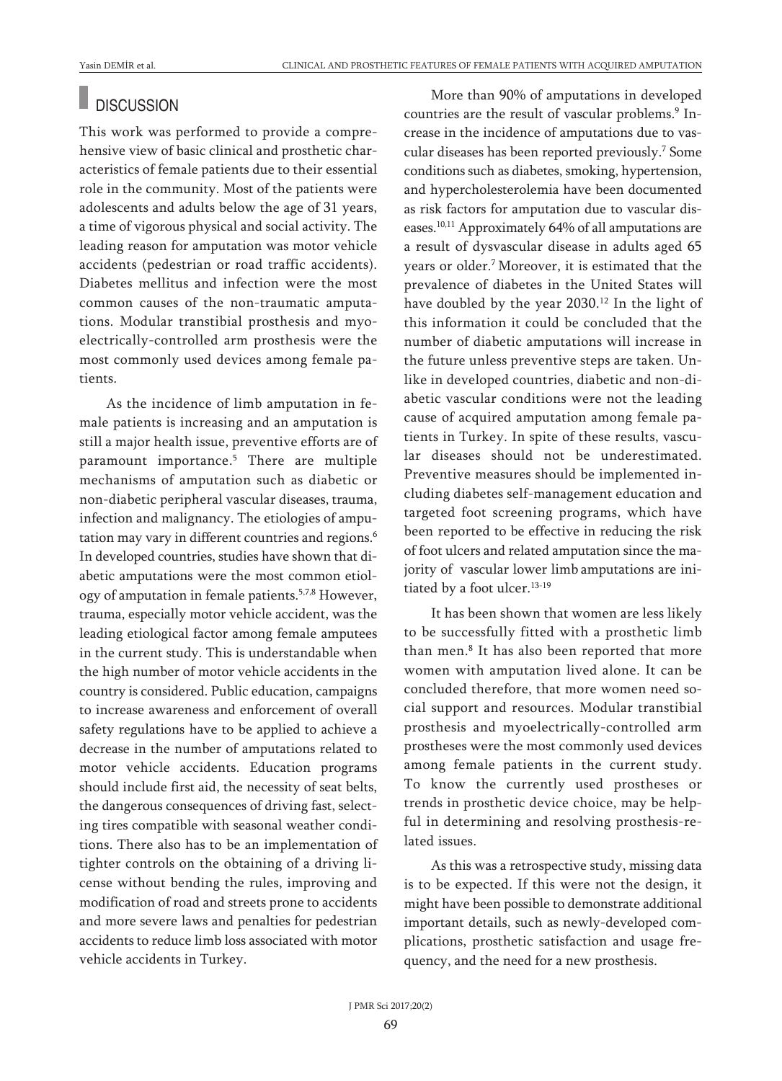## **DISCUSSION**

This work was performed to provide a comprehensive view of basic clinical and prosthetic characteristics of female patients due to their essential role in the community. Most of the patients were adolescents and adults below the age of 31 years, a time of vigorous physical and social activity. The leading reason for amputation was motor vehicle accidents (pedestrian or road traffic accidents). Diabetes mellitus and infection were the most common causes of the non-traumatic amputations. Modular transtibial prosthesis and myoelectrically-controlled arm prosthesis were the most commonly used devices among female patients.

As the incidence of limb amputation in female patients is increasing and an amputation is still a major health issue, preventive efforts are of paramount importance. <sup>5</sup> There are multiple mechanisms of amputation such as diabetic or non-diabetic peripheral vascular diseases, trauma, infection and malignancy. The etiologies of amputation may vary in different countries and regions. 6 In developed countries, studies have shown that diabetic amputations were the most common etiology of amputation in female patients. 5,7,8 However, trauma, especially motor vehicle accident, was the leading etiological factor among female amputees in the current study. This is understandable when the high number of motor vehicle accidents in the country is considered. Public education, campaigns to increase awareness and enforcement of overall safety regulations have to be applied to achieve a decrease in the number of amputations related to motor vehicle accidents. Education programs should include first aid, the necessity of seat belts, the dangerous consequences of driving fast, selecting tires compatible with seasonal weather conditions. There also has to be an implementation of tighter controls on the obtaining of a driving license without bending the rules, improving and modification of road and streets prone to accidents and more severe laws and penalties for pedestrian accidents to reduce limb loss associated with motor vehicle accidents in Turkey.

More than 90% of amputations in developed countries are the result of vascular problems. <sup>9</sup> Increase in the incidence of amputations due to vascular diseases has been reported previously. <sup>7</sup> Some conditions such as diabetes, smoking, hypertension, and hypercholesterolemia have been documented as risk factors for amputation due to vascular diseases. 10,11 Approximately 64% of all amputations are a result of dysvascular disease in adults aged 65 years or older. <sup>7</sup> Moreover, it is estimated that the prevalence of diabetes in the United States will have doubled by the year 2030. <sup>12</sup> In the light of this information it could be concluded that the number of diabetic amputations will increase in the future unless preventive steps are taken. Unlike in developed countries, diabetic and non-diabetic vascular conditions were not the leading cause of acquired amputation among female patients in Turkey. In spite of these results, vascular diseases should not be underestimated. Preventive measures should be implemented including diabetes self-management education and targeted foot screening programs, which have been reported to be effective in reducing the risk of foot ulcers and related amputation since the majority of vascular lower limb amputations are initiated by a foot ulcer.<sup>13-19</sup>

It has been shown that women are less likely to be successfully fitted with a prosthetic limb than men. <sup>8</sup> It has also been reported that more women with amputation lived alone. It can be concluded therefore, that more women need social support and resources. Modular transtibial prosthesis and myoelectrically-controlled arm prostheses were the most commonly used devices among female patients in the current study. To know the currently used prostheses or trends in prosthetic device choice, may be helpful in determining and resolving prosthesis-related issues.

As this was a retrospective study, missing data is to be expected. If this were not the design, it might have been possible to demonstrate additional important details, such as newly-developed complications, prosthetic satisfaction and usage frequency, and the need for a new prosthesis.